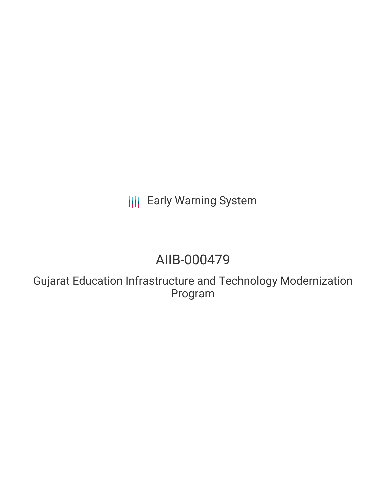# **III** Early Warning System

## AIIB-000479

Gujarat Education Infrastructure and Technology Modernization Program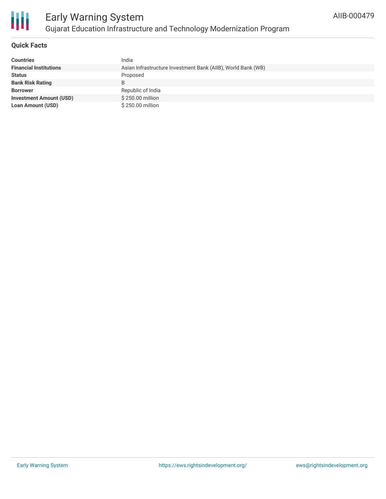

#### **Quick Facts**

| <b>Countries</b>               | India                                                        |
|--------------------------------|--------------------------------------------------------------|
| <b>Financial Institutions</b>  | Asian Infrastructure Investment Bank (AIIB), World Bank (WB) |
| <b>Status</b>                  | Proposed                                                     |
| <b>Bank Risk Rating</b>        | B                                                            |
| <b>Borrower</b>                | Republic of India                                            |
| <b>Investment Amount (USD)</b> | $$250.00$ million                                            |
| <b>Loan Amount (USD)</b>       | \$250.00 million                                             |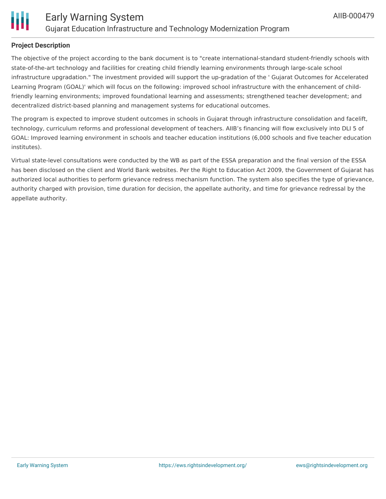

### **Project Description**

The objective of the project according to the bank document is to "create international-standard student-friendly schools with state-of-the-art technology and facilities for creating child friendly learning environments through large-scale school infrastructure upgradation." The investment provided will support the up-gradation of the ' Gujarat Outcomes for Accelerated Learning Program (GOAL)' which will focus on the following: improved school infrastructure with the enhancement of childfriendly learning environments; improved foundational learning and assessments; strengthened teacher development; and decentralized district-based planning and management systems for educational outcomes.

The program is expected to improve student outcomes in schools in Gujarat through infrastructure consolidation and facelift, technology, curriculum reforms and professional development of teachers. AIIB's financing will flow exclusively into DLI 5 of GOAL: Improved learning environment in schools and teacher education institutions (6,000 schools and five teacher education institutes).

Virtual state-level consultations were conducted by the WB as part of the ESSA preparation and the final version of the ESSA has been disclosed on the client and World Bank websites. Per the Right to Education Act 2009, the Government of Gujarat has authorized local authorities to perform grievance redress mechanism function. The system also specifies the type of grievance, authority charged with provision, time duration for decision, the appellate authority, and time for grievance redressal by the appellate authority.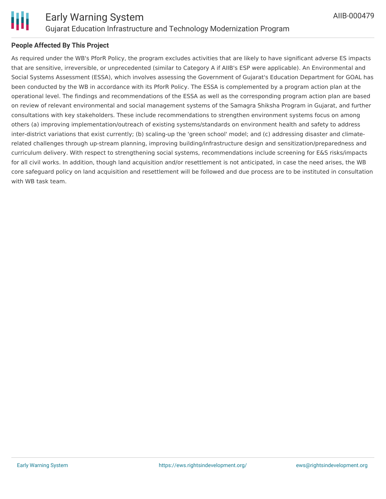



#### **People Affected By This Project**

As required under the WB's PforR Policy, the program excludes activities that are likely to have significant adverse ES impacts that are sensitive, irreversible, or unprecedented (similar to Category A if AIIB's ESP were applicable). An Environmental and Social Systems Assessment (ESSA), which involves assessing the Government of Gujarat's Education Department for GOAL has been conducted by the WB in accordance with its PforR Policy. The ESSA is complemented by a program action plan at the operational level. The findings and recommendations of the ESSA as well as the corresponding program action plan are based on review of relevant environmental and social management systems of the Samagra Shiksha Program in Gujarat, and further consultations with key stakeholders. These include recommendations to strengthen environment systems focus on among others (a) improving implementation/outreach of existing systems/standards on environment health and safety to address inter-district variations that exist currently; (b) scaling-up the 'green school' model; and (c) addressing disaster and climaterelated challenges through up-stream planning, improving building/infrastructure design and sensitization/preparedness and curriculum delivery. With respect to strengthening social systems, recommendations include screening for E&S risks/impacts for all civil works. In addition, though land acquisition and/or resettlement is not anticipated, in case the need arises, the WB core safeguard policy on land acquisition and resettlement will be followed and due process are to be instituted in consultation with WB task team.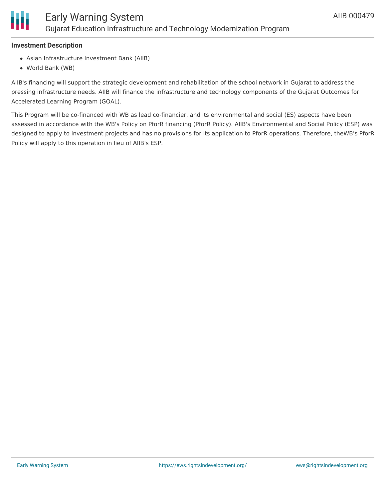#### **Investment Description**

- Asian Infrastructure Investment Bank (AIIB)
- World Bank (WB)

AIIB's financing will support the strategic development and rehabilitation of the school network in Gujarat to address the pressing infrastructure needs. AIIB will finance the infrastructure and technology components of the Gujarat Outcomes for Accelerated Learning Program (GOAL).

This Program will be co-financed with WB as lead co-financier, and its environmental and social (ES) aspects have been assessed in accordance with the WB's Policy on PforR financing (PforR Policy). AIIB's Environmental and Social Policy (ESP) was designed to apply to investment projects and has no provisions for its application to PforR operations. Therefore, theWB's PforR Policy will apply to this operation in lieu of AIIB's ESP.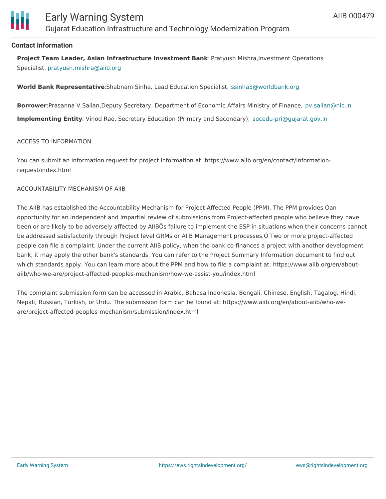

#### **Contact Information**

**Project Team Leader, Asian Infrastructure Investment Bank**: Pratyush Mishra,Investment Operations Specialist, [pratyush.mishra@aiib.org](mailto:pratyush.mishra@aiib.org)

**World Bank Representative**:Shabnam Sinha, Lead Education Specialist, [ssinha5@worldbank.org](mailto:ssinha5@worldbank.org)

**Borrower**:Prasanna V Salian,Deputy Secretary, Department of Economic Affairs Ministry of Finance, [pv.salian@nic.in](mailto:pv.salian@nic.in)

**Implementing Entity**: Vinod Rao, Secretary Education (Primary and Secondary), [secedu-pri@gujarat.gov.in](mailto:secedu-pri@gujarat.gov.in)

#### ACCESS TO INFORMATION

You can submit an information request for project information at: https://www.aiib.org/en/contact/informationrequest/index.html

#### ACCOUNTABILITY MECHANISM OF AIIB

The AIIB has established the Accountability Mechanism for Project-Affected People (PPM). The PPM provides Òan opportunity for an independent and impartial review of submissions from Project-affected people who believe they have been or are likely to be adversely affected by AIIBÕs failure to implement the ESP in situations when their concerns cannot be addressed satisfactorily through Project level GRMs or AIIB Management processes.Ó Two or more project-affected people can file a complaint. Under the current AIIB policy, when the bank co-finances a project with another development bank, it may apply the other bank's standards. You can refer to the Project Summary Information document to find out which standards apply. You can learn more about the PPM and how to file a complaint at: https://www.aiib.org/en/aboutaiib/who-we-are/project-affected-peoples-mechanism/how-we-assist-you/index.html

The complaint submission form can be accessed in Arabic, Bahasa Indonesia, Bengali, Chinese, English, Tagalog, Hindi, Nepali, Russian, Turkish, or Urdu. The submission form can be found at: https://www.aiib.org/en/about-aiib/who-weare/project-affected-peoples-mechanism/submission/index.html